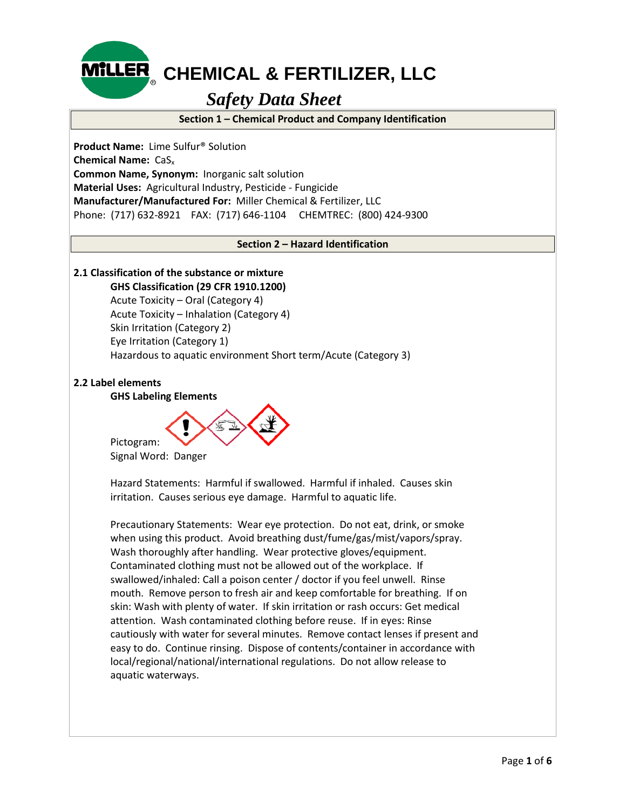

## **MILLER** CHEMICAL & FERTILIZER, LLC

## *Safety Data Sheet*

**Section 1 – Chemical Product and Company Identification**

**Product Name:** Lime Sulfur® Solution **Chemical Name:** CaSx **Common Name, Synonym:** Inorganic salt solution **Material Uses:** Agricultural Industry, Pesticide - Fungicide **Manufacturer/Manufactured For:** Miller Chemical & Fertilizer, LLC Phone: (717) 632-8921 FAX: (717) 646-1104 CHEMTREC: (800) 424-9300

#### **Section 2 – Hazard Identification**

### **2.1 Classification of the substance or mixture**

**GHS Classification (29 CFR 1910.1200)**

Acute Toxicity – Oral (Category 4) Acute Toxicity – Inhalation (Category 4) Skin Irritation (Category 2) Eye Irritation (Category 1) Hazardous to aquatic environment Short term/Acute (Category 3)

#### **2.2 Label elements**

#### **GHS Labeling Elements**



Signal Word: Danger

Hazard Statements: Harmful if swallowed. Harmful if inhaled. Causes skin irritation. Causes serious eye damage. Harmful to aquatic life.

Precautionary Statements: Wear eye protection. Do not eat, drink, or smoke when using this product. Avoid breathing dust/fume/gas/mist/vapors/spray. Wash thoroughly after handling. Wear protective gloves/equipment. Contaminated clothing must not be allowed out of the workplace. If swallowed/inhaled: Call a poison center / doctor if you feel unwell. Rinse mouth. Remove person to fresh air and keep comfortable for breathing. If on skin: Wash with plenty of water. If skin irritation or rash occurs: Get medical attention. Wash contaminated clothing before reuse. If in eyes: Rinse cautiously with water for several minutes. Remove contact lenses if present and easy to do. Continue rinsing. Dispose of contents/container in accordance with local/regional/national/international regulations. Do not allow release to aquatic waterways.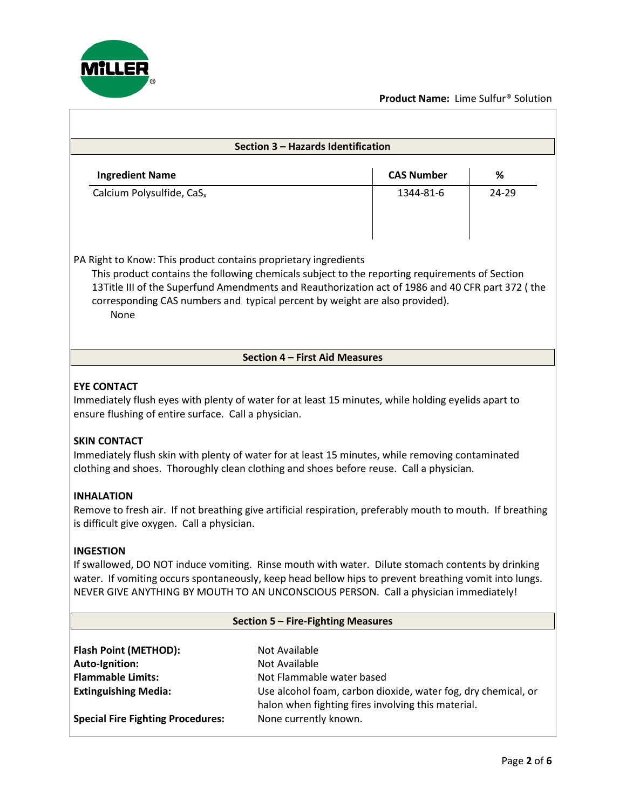

 $\overline{1}$ 

#### **Product Name:** Lime Sulfur® Solution

| Section 3 - Hazards Identification                                                                                                                                                                                                                                                                                                                                                                                                                                                                                                                                                        |                                                                                                                                                                                                             |                   |       |  |  |  |  |
|-------------------------------------------------------------------------------------------------------------------------------------------------------------------------------------------------------------------------------------------------------------------------------------------------------------------------------------------------------------------------------------------------------------------------------------------------------------------------------------------------------------------------------------------------------------------------------------------|-------------------------------------------------------------------------------------------------------------------------------------------------------------------------------------------------------------|-------------------|-------|--|--|--|--|
| <b>Ingredient Name</b>                                                                                                                                                                                                                                                                                                                                                                                                                                                                                                                                                                    |                                                                                                                                                                                                             | <b>CAS Number</b> | %     |  |  |  |  |
| Calcium Polysulfide, CaS <sub>x</sub>                                                                                                                                                                                                                                                                                                                                                                                                                                                                                                                                                     |                                                                                                                                                                                                             | 1344-81-6         | 24-29 |  |  |  |  |
| PA Right to Know: This product contains proprietary ingredients<br>This product contains the following chemicals subject to the reporting requirements of Section<br>13Title III of the Superfund Amendments and Reauthorization act of 1986 and 40 CFR part 372 (the<br>corresponding CAS numbers and typical percent by weight are also provided).<br>None                                                                                                                                                                                                                              |                                                                                                                                                                                                             |                   |       |  |  |  |  |
|                                                                                                                                                                                                                                                                                                                                                                                                                                                                                                                                                                                           | Section 4 - First Aid Measures                                                                                                                                                                              |                   |       |  |  |  |  |
| <b>EYE CONTACT</b><br>Immediately flush eyes with plenty of water for at least 15 minutes, while holding eyelids apart to<br>ensure flushing of entire surface. Call a physician.<br><b>SKIN CONTACT</b><br>Immediately flush skin with plenty of water for at least 15 minutes, while removing contaminated<br>clothing and shoes. Thoroughly clean clothing and shoes before reuse. Call a physician.<br><b>INHALATION</b><br>Remove to fresh air. If not breathing give artificial respiration, preferably mouth to mouth. If breathing<br>is difficult give oxygen. Call a physician. |                                                                                                                                                                                                             |                   |       |  |  |  |  |
| <b>INGESTION</b><br>If swallowed, DO NOT induce vomiting. Rinse mouth with water. Dilute stomach contents by drinking<br>water. If vomiting occurs spontaneously, keep head bellow hips to prevent breathing vomit into lungs.<br>NEVER GIVE ANYTHING BY MOUTH TO AN UNCONSCIOUS PERSON. Call a physician immediately!                                                                                                                                                                                                                                                                    |                                                                                                                                                                                                             |                   |       |  |  |  |  |
| Section 5 - Fire-Fighting Measures                                                                                                                                                                                                                                                                                                                                                                                                                                                                                                                                                        |                                                                                                                                                                                                             |                   |       |  |  |  |  |
| <b>Flash Point (METHOD):</b><br>Auto-Ignition:<br><b>Flammable Limits:</b><br><b>Extinguishing Media:</b><br><b>Special Fire Fighting Procedures:</b>                                                                                                                                                                                                                                                                                                                                                                                                                                     | Not Available<br>Not Available<br>Not Flammable water based<br>Use alcohol foam, carbon dioxide, water fog, dry chemical, or<br>halon when fighting fires involving this material.<br>None currently known. |                   |       |  |  |  |  |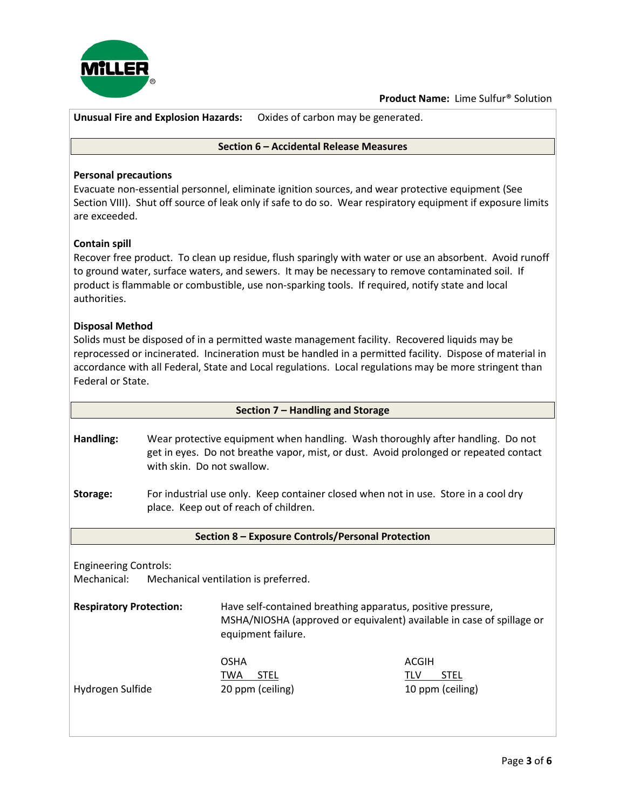

**Unusual Fire and Explosion Hazards:** Oxides of carbon may be generated.

#### **Section 6 – Accidental Release Measures**

#### **Personal precautions**

Evacuate non-essential personnel, eliminate ignition sources, and wear protective equipment (See Section VIII). Shut off source of leak only if safe to do so. Wear respiratory equipment if exposure limits are exceeded.

#### **Contain spill**

Recover free product. To clean up residue, flush sparingly with water or use an absorbent. Avoid runoff to ground water, surface waters, and sewers. It may be necessary to remove contaminated soil. If product is flammable or combustible, use non-sparking tools. If required, notify state and local authorities.

#### **Disposal Method**

Solids must be disposed of in a permitted waste management facility. Recovered liquids may be reprocessed or incinerated. Incineration must be handled in a permitted facility. Dispose of material in accordance with all Federal, State and Local regulations. Local regulations may be more stringent than Federal or State.

| Section 7 - Handling and Storage                                                                                                         |                                                                                                                                                                                                        |                                                                                                                                                            |  |                                        |
|------------------------------------------------------------------------------------------------------------------------------------------|--------------------------------------------------------------------------------------------------------------------------------------------------------------------------------------------------------|------------------------------------------------------------------------------------------------------------------------------------------------------------|--|----------------------------------------|
| Handling:                                                                                                                                | Wear protective equipment when handling. Wash thoroughly after handling. Do not<br>get in eyes. Do not breathe vapor, mist, or dust. Avoid prolonged or repeated contact<br>with skin. Do not swallow. |                                                                                                                                                            |  |                                        |
| For industrial use only. Keep container closed when not in use. Store in a cool dry<br>Storage:<br>place. Keep out of reach of children. |                                                                                                                                                                                                        |                                                                                                                                                            |  |                                        |
|                                                                                                                                          |                                                                                                                                                                                                        | Section 8 - Exposure Controls/Personal Protection                                                                                                          |  |                                        |
|                                                                                                                                          |                                                                                                                                                                                                        |                                                                                                                                                            |  |                                        |
| <b>Engineering Controls:</b>                                                                                                             |                                                                                                                                                                                                        |                                                                                                                                                            |  |                                        |
|                                                                                                                                          |                                                                                                                                                                                                        | Mechanical: Mechanical ventilation is preferred.                                                                                                           |  |                                        |
| <b>Respiratory Protection:</b>                                                                                                           |                                                                                                                                                                                                        | Have self-contained breathing apparatus, positive pressure,<br>MSHA/NIOSHA (approved or equivalent) available in case of spillage or<br>equipment failure. |  |                                        |
|                                                                                                                                          |                                                                                                                                                                                                        | <b>OSHA</b>                                                                                                                                                |  | <b>ACGIH</b>                           |
| Hydrogen Sulfide                                                                                                                         |                                                                                                                                                                                                        | TWA<br><b>STEL</b><br>20 ppm (ceiling)                                                                                                                     |  | <b>STEL</b><br>TLV<br>10 ppm (ceiling) |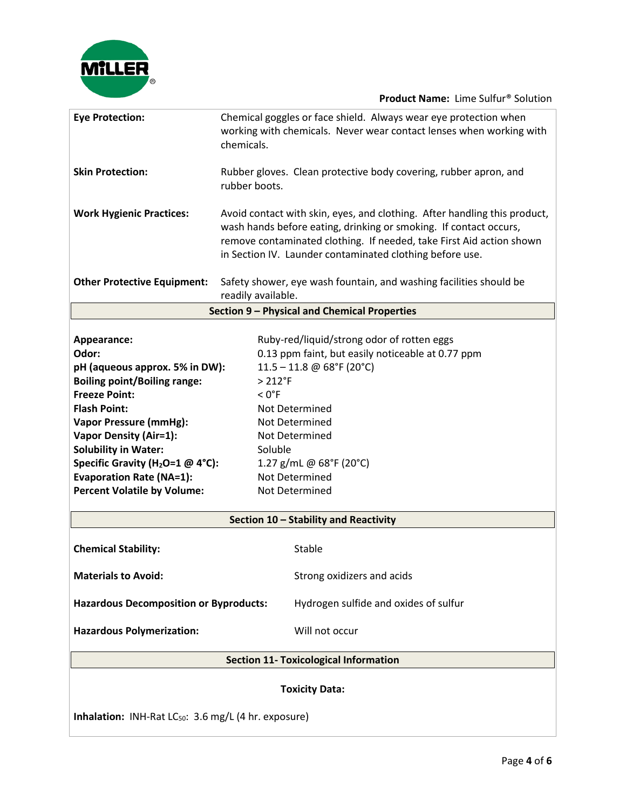

**Product Name:** Lime Sulfur® Solution

| <b>Eye Protection:</b>                                                                 | Chemical goggles or face shield. Always wear eye protection when<br>working with chemicals. Never wear contact lenses when working with<br>chemicals.                                                                                                                              |  |  |  |
|----------------------------------------------------------------------------------------|------------------------------------------------------------------------------------------------------------------------------------------------------------------------------------------------------------------------------------------------------------------------------------|--|--|--|
| <b>Skin Protection:</b>                                                                | Rubber gloves. Clean protective body covering, rubber apron, and<br>rubber boots.                                                                                                                                                                                                  |  |  |  |
| <b>Work Hygienic Practices:</b>                                                        | Avoid contact with skin, eyes, and clothing. After handling this product,<br>wash hands before eating, drinking or smoking. If contact occurs,<br>remove contaminated clothing. If needed, take First Aid action shown<br>in Section IV. Launder contaminated clothing before use. |  |  |  |
| <b>Other Protective Equipment:</b>                                                     | Safety shower, eye wash fountain, and washing facilities should be<br>readily available.                                                                                                                                                                                           |  |  |  |
|                                                                                        | Section 9 - Physical and Chemical Properties                                                                                                                                                                                                                                       |  |  |  |
|                                                                                        |                                                                                                                                                                                                                                                                                    |  |  |  |
| Appearance:                                                                            | Ruby-red/liquid/strong odor of rotten eggs                                                                                                                                                                                                                                         |  |  |  |
| Odor:                                                                                  | 0.13 ppm faint, but easily noticeable at 0.77 ppm                                                                                                                                                                                                                                  |  |  |  |
| pH (aqueous approx. 5% in DW):                                                         | $11.5 - 11.8$ @ 68°F (20°C)                                                                                                                                                                                                                                                        |  |  |  |
| <b>Boiling point/Boiling range:</b>                                                    | $> 212$ °F                                                                                                                                                                                                                                                                         |  |  |  |
| <b>Freeze Point:</b>                                                                   | $< 0$ °F                                                                                                                                                                                                                                                                           |  |  |  |
| <b>Flash Point:</b>                                                                    | Not Determined                                                                                                                                                                                                                                                                     |  |  |  |
| <b>Vapor Pressure (mmHg):</b>                                                          | Not Determined                                                                                                                                                                                                                                                                     |  |  |  |
| <b>Vapor Density (Air=1):</b>                                                          | Not Determined                                                                                                                                                                                                                                                                     |  |  |  |
| <b>Solubility in Water:</b>                                                            | Soluble                                                                                                                                                                                                                                                                            |  |  |  |
| Specific Gravity (H <sub>2</sub> O=1 @ 4°C):                                           | 1.27 g/mL @ 68°F (20°C)                                                                                                                                                                                                                                                            |  |  |  |
| <b>Evaporation Rate (NA=1):</b>                                                        | Not Determined                                                                                                                                                                                                                                                                     |  |  |  |
| <b>Percent Volatile by Volume:</b>                                                     | Not Determined                                                                                                                                                                                                                                                                     |  |  |  |
|                                                                                        | Section 10 - Stability and Reactivity                                                                                                                                                                                                                                              |  |  |  |
|                                                                                        |                                                                                                                                                                                                                                                                                    |  |  |  |
| <b>Chemical Stability:</b>                                                             | Stable                                                                                                                                                                                                                                                                             |  |  |  |
| <b>Materials to Avoid:</b>                                                             | Strong oxidizers and acids                                                                                                                                                                                                                                                         |  |  |  |
| <b>Hazardous Decomposition or Byproducts:</b><br>Hydrogen sulfide and oxides of sulfur |                                                                                                                                                                                                                                                                                    |  |  |  |
| <b>Hazardous Polymerization:</b>                                                       | Will not occur                                                                                                                                                                                                                                                                     |  |  |  |
| <b>Section 11- Toxicological Information</b>                                           |                                                                                                                                                                                                                                                                                    |  |  |  |
| <b>Toxicity Data:</b>                                                                  |                                                                                                                                                                                                                                                                                    |  |  |  |
| Inhalation: INH-Rat LC <sub>50</sub> : 3.6 mg/L (4 hr. exposure)                       |                                                                                                                                                                                                                                                                                    |  |  |  |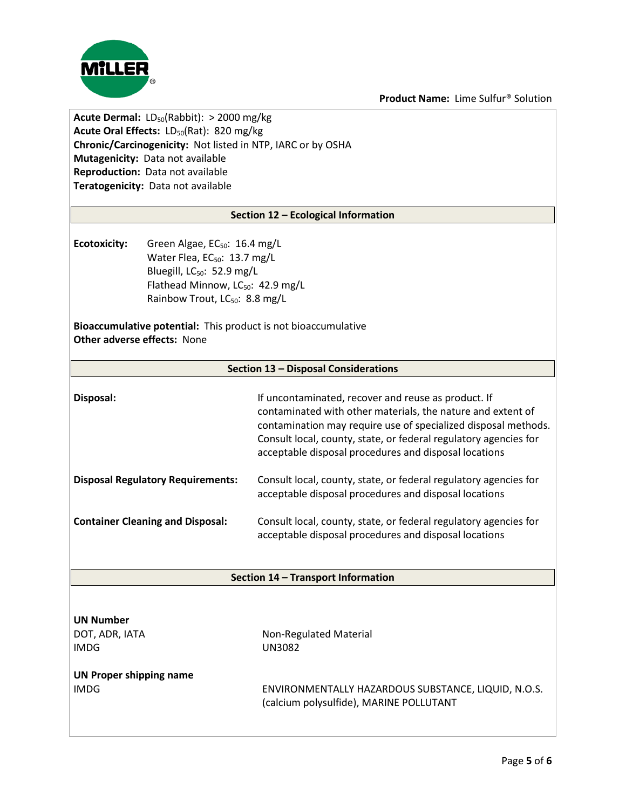**Product Name:** Lime Sulfur® Solution



**Acute Dermal:** LD<sub>50</sub>(Rabbit): > 2000 mg/kg **Acute Oral Effects: LD<sub>50</sub>(Rat): 820 mg/kg Chronic/Carcinogenicity:** Not listed in NTP, IARC or by OSHA **Mutagenicity:** Data not available **Reproduction:** Data not available **Teratogenicity:** Data not available

#### **Section 12 – Ecological Information**

**Ecotoxicity:** Green Algae, EC<sub>50</sub>: 16.4 mg/L Water Flea, EC<sub>50</sub>: 13.7 mg/L Bluegill, LC<sub>50</sub>: 52.9 mg/L Flathead Minnow, LC<sub>50</sub>: 42.9 mg/L Rainbow Trout, LC<sub>50</sub>: 8.8 mg/L

**Bioaccumulative potential:** This product is not bioaccumulative **Other adverse effects:** None

#### **Section 13 – Disposal Considerations**

| Disposal:                                | If uncontaminated, recover and reuse as product. If<br>contaminated with other materials, the nature and extent of<br>contamination may require use of specialized disposal methods.<br>Consult local, county, state, or federal regulatory agencies for<br>acceptable disposal procedures and disposal locations |
|------------------------------------------|-------------------------------------------------------------------------------------------------------------------------------------------------------------------------------------------------------------------------------------------------------------------------------------------------------------------|
| <b>Disposal Regulatory Requirements:</b> | Consult local, county, state, or federal regulatory agencies for<br>acceptable disposal procedures and disposal locations                                                                                                                                                                                         |
| <b>Container Cleaning and Disposal:</b>  | Consult local, county, state, or federal regulatory agencies for<br>acceptable disposal procedures and disposal locations                                                                                                                                                                                         |

#### **Section 14 – Transport Information**

| <b>UN Number</b> |  |  |  |  |
|------------------|--|--|--|--|
| DOT, ADR, IATA   |  |  |  |  |
| IMDG             |  |  |  |  |

**Non-Regulated Material** UN3082

# **UN Proper shipping name**

IMDG ENVIRONMENTALLY HAZARDOUS SUBSTANCE, LIQUID, N.O.S. (calcium polysulfide), MARINE POLLUTANT